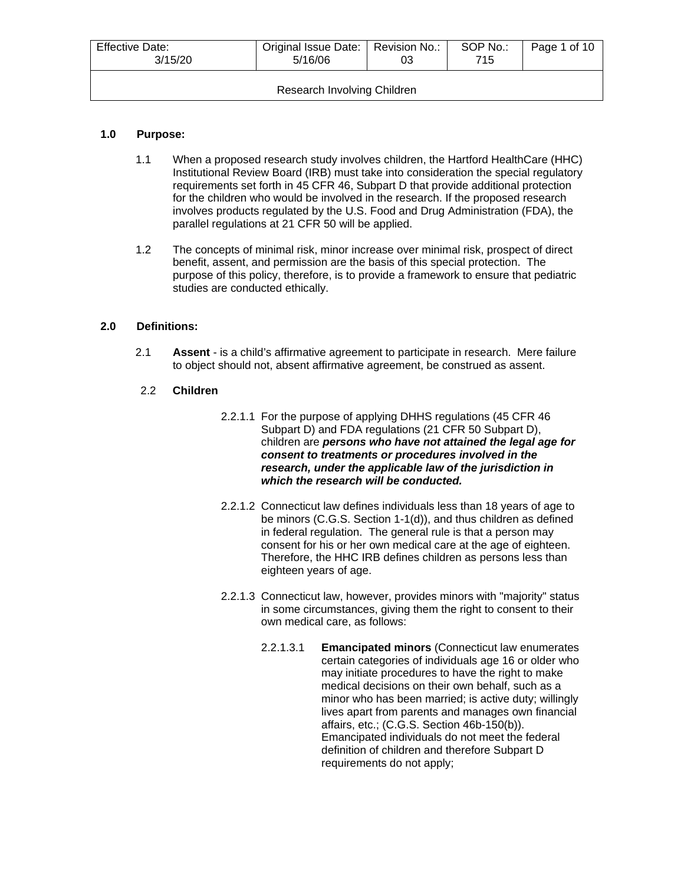| Effective Date:<br>3/15/20  | Original Issue Date:   Revision No.:<br>5/16/06 | 03 | SOP No.:<br>715 | Page 1 of 10 |  |
|-----------------------------|-------------------------------------------------|----|-----------------|--------------|--|
| Research Involving Children |                                                 |    |                 |              |  |

# **1.0 Purpose:**

- 1.1 When a proposed research study involves children, the Hartford HealthCare (HHC) Institutional Review Board (IRB) must take into consideration the special regulatory requirements set forth in 45 CFR 46, Subpart D that provide additional protection for the children who would be involved in the research. If the proposed research involves products regulated by the U.S. Food and Drug Administration (FDA), the parallel regulations at 21 CFR 50 will be applied.
- 1.2 The concepts of minimal risk, minor increase over minimal risk, prospect of direct benefit, assent, and permission are the basis of this special protection. The purpose of this policy, therefore, is to provide a framework to ensure that pediatric studies are conducted ethically.

## **2.0 Definitions:**

2.1 **Assent** - is a child's affirmative agreement to participate in research. Mere failure to object should not, absent affirmative agreement, be construed as assent.

### 2.2 **Children**

- 2.2.1.1 For the purpose of applying DHHS regulations (45 CFR 46 Subpart D) and FDA regulations (21 CFR 50 Subpart D), children are *persons who have not attained the legal age for consent to treatments or procedures involved in the research, under the applicable law of the jurisdiction in which the research will be conducted.*
- 2.2.1.2 Connecticut law defines individuals less than 18 years of age to be minors (C.G.S. Section 1-1(d)), and thus children as defined in federal regulation. The general rule is that a person may consent for his or her own medical care at the age of eighteen. Therefore, the HHC IRB defines children as persons less than eighteen years of age.
- 2.2.1.3 Connecticut law, however, provides minors with "majority" status in some circumstances, giving them the right to consent to their own medical care, as follows:
	- 2.2.1.3.1 **Emancipated minors** (Connecticut law enumerates certain categories of individuals age 16 or older who may initiate procedures to have the right to make medical decisions on their own behalf, such as a minor who has been married; is active duty; willingly lives apart from parents and manages own financial affairs, etc.; (C.G.S. Section 46b-150(b)). Emancipated individuals do not meet the federal definition of children and therefore Subpart D requirements do not apply;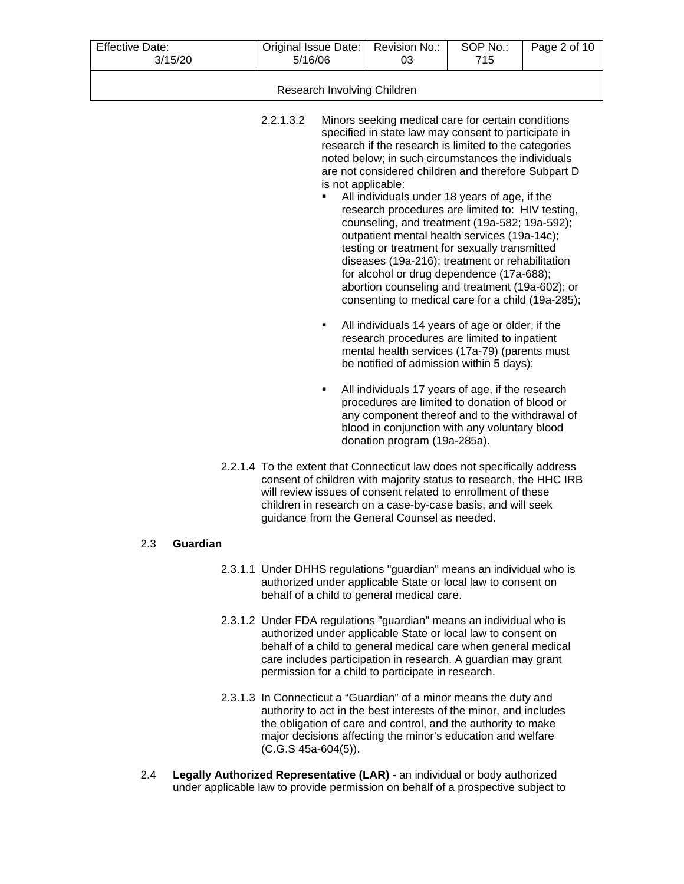| <b>Effective Date:</b><br>3/15/20 | Original Issue Date:<br>5/16/06                                                                                                                                                                                                                                                                                                                                                                                                                                                                                                                                                                                                                                                                                                                                                                                                                                                                                                                                                                                                                                                                                                                                                                                                                                                                                         | Revision No.:<br>03 | SOP No.:<br>715 | Page 2 of 10 |  |
|-----------------------------------|-------------------------------------------------------------------------------------------------------------------------------------------------------------------------------------------------------------------------------------------------------------------------------------------------------------------------------------------------------------------------------------------------------------------------------------------------------------------------------------------------------------------------------------------------------------------------------------------------------------------------------------------------------------------------------------------------------------------------------------------------------------------------------------------------------------------------------------------------------------------------------------------------------------------------------------------------------------------------------------------------------------------------------------------------------------------------------------------------------------------------------------------------------------------------------------------------------------------------------------------------------------------------------------------------------------------------|---------------------|-----------------|--------------|--|
|                                   | Research Involving Children                                                                                                                                                                                                                                                                                                                                                                                                                                                                                                                                                                                                                                                                                                                                                                                                                                                                                                                                                                                                                                                                                                                                                                                                                                                                                             |                     |                 |              |  |
|                                   | 2.2.1.3.2<br>Minors seeking medical care for certain conditions<br>specified in state law may consent to participate in<br>research if the research is limited to the categories<br>noted below; in such circumstances the individuals<br>are not considered children and therefore Subpart D<br>is not applicable:<br>All individuals under 18 years of age, if the<br>п<br>research procedures are limited to: HIV testing,<br>counseling, and treatment (19a-582; 19a-592);<br>outpatient mental health services (19a-14c);<br>testing or treatment for sexually transmitted<br>diseases (19a-216); treatment or rehabilitation<br>for alcohol or drug dependence (17a-688);<br>abortion counseling and treatment (19a-602); or<br>consenting to medical care for a child (19a-285);<br>All individuals 14 years of age or older, if the<br>٠<br>research procedures are limited to inpatient<br>mental health services (17a-79) (parents must<br>be notified of admission within 5 days);<br>All individuals 17 years of age, if the research<br>٠<br>procedures are limited to donation of blood or<br>any component thereof and to the withdrawal of<br>blood in conjunction with any voluntary blood<br>donation program (19a-285a).<br>2.2.1.4 To the extent that Connecticut law does not specifically address |                     |                 |              |  |
|                                   | consent of children with majority status to research, the HHC IRB<br>will review issues of consent related to enrollment of these<br>children in research on a case-by-case basis, and will seek<br>guidance from the General Counsel as needed.                                                                                                                                                                                                                                                                                                                                                                                                                                                                                                                                                                                                                                                                                                                                                                                                                                                                                                                                                                                                                                                                        |                     |                 |              |  |
| Guardian<br>2.3                   |                                                                                                                                                                                                                                                                                                                                                                                                                                                                                                                                                                                                                                                                                                                                                                                                                                                                                                                                                                                                                                                                                                                                                                                                                                                                                                                         |                     |                 |              |  |
|                                   | 2.3.1.1 Under DHHS regulations "guardian" means an individual who is<br>authorized under applicable State or local law to consent on<br>behalf of a child to general medical care.                                                                                                                                                                                                                                                                                                                                                                                                                                                                                                                                                                                                                                                                                                                                                                                                                                                                                                                                                                                                                                                                                                                                      |                     |                 |              |  |
|                                   | 2.3.1.2 Under FDA regulations "guardian" means an individual who is<br>authorized under applicable State or local law to consent on<br>behalf of a child to general medical care when general medical<br>care includes participation in research. A guardian may grant<br>permission for a child to participate in research.                                                                                                                                                                                                                                                                                                                                                                                                                                                                                                                                                                                                                                                                                                                                                                                                                                                                                                                                                                                            |                     |                 |              |  |
|                                   |                                                                                                                                                                                                                                                                                                                                                                                                                                                                                                                                                                                                                                                                                                                                                                                                                                                                                                                                                                                                                                                                                                                                                                                                                                                                                                                         | $\lambda$           |                 |              |  |

- 2.3.1.3 In Connecticut a "Guardian" of a minor means the duty and authority to act in the best interests of the minor, and includes the obligation of care and control, and the authority to make major decisions affecting the minor's education and welfare (C.G.S 45a-604(5)).
- 2.4 **Legally Authorized Representative (LAR) -** an individual or body authorized under applicable law to provide permission on behalf of a prospective subject to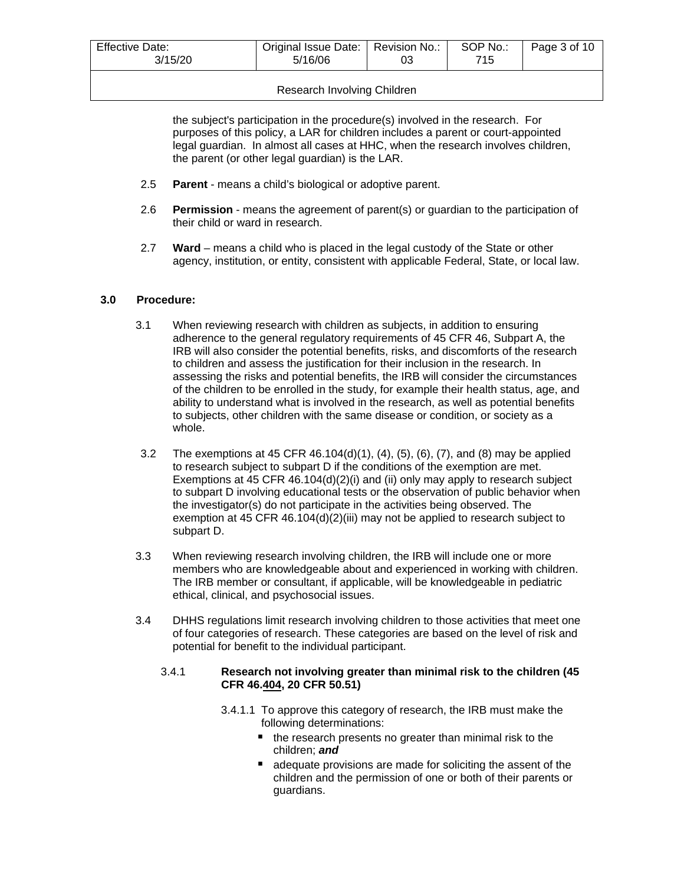| Effective Date:<br>3/15/20 | Original Issue Date:   Revision No.:<br>5/16/06 | 03   | SOP No.:<br>715 | Page 3 of 10 |
|----------------------------|-------------------------------------------------|------|-----------------|--------------|
|                            | .                                               | ---- |                 |              |

## Research Involving Children

the subject's participation in the procedure(s) involved in the research. For purposes of this policy, a LAR for children includes a parent or court-appointed legal guardian. In almost all cases at HHC, when the research involves children, the parent (or other legal guardian) is the LAR.

- 2.5 **Parent** means a child's biological or adoptive parent.
- 2.6 **Permission** means the agreement of parent(s) or guardian to the participation of their child or ward in research.
- 2.7 **Ward**  means a child who is placed in the legal custody of the State or other agency, institution, or entity, consistent with applicable Federal, State, or local law.

# **3.0 Procedure:**

- 3.1 When reviewing research with children as subjects, in addition to ensuring adherence to the general regulatory requirements of 45 CFR 46, Subpart A, the IRB will also consider the potential benefits, risks, and discomforts of the research to children and assess the justification for their inclusion in the research. In assessing the risks and potential benefits, the IRB will consider the circumstances of the children to be enrolled in the study, for example their health status, age, and ability to understand what is involved in the research, as well as potential benefits to subjects, other children with the same disease or condition, or society as a whole.
- 3.2 The exemptions at 45 CFR 46.104(d)(1), (4), (5), (6), (7), and (8) may be applied to research subject to subpart D if the conditions of the exemption are met. Exemptions at 45 CFR 46.104(d)(2)(i) and (ii) only may apply to research subject to subpart D involving educational tests or the observation of public behavior when the investigator(s) do not participate in the activities being observed. The exemption at 45 CFR 46.104(d)(2)(iii) may not be applied to research subject to subpart D.
- 3.3 When reviewing research involving children, the IRB will include one or more members who are knowledgeable about and experienced in working with children. The IRB member or consultant, if applicable, will be knowledgeable in pediatric ethical, clinical, and psychosocial issues.
- 3.4 DHHS regulations limit research involving children to those activities that meet one of four categories of research. These categories are based on the level of risk and potential for benefit to the individual participant.

# 3.4.1 **Research not involving greater than minimal risk to the children (45 CFR 46.404, 20 CFR 50.51)**

- 3.4.1.1 To approve this category of research, the IRB must make the following determinations:
	- $\blacksquare$  the research presents no greater than minimal risk to the children; *and*
	- adequate provisions are made for soliciting the assent of the children and the permission of one or both of their parents or guardians.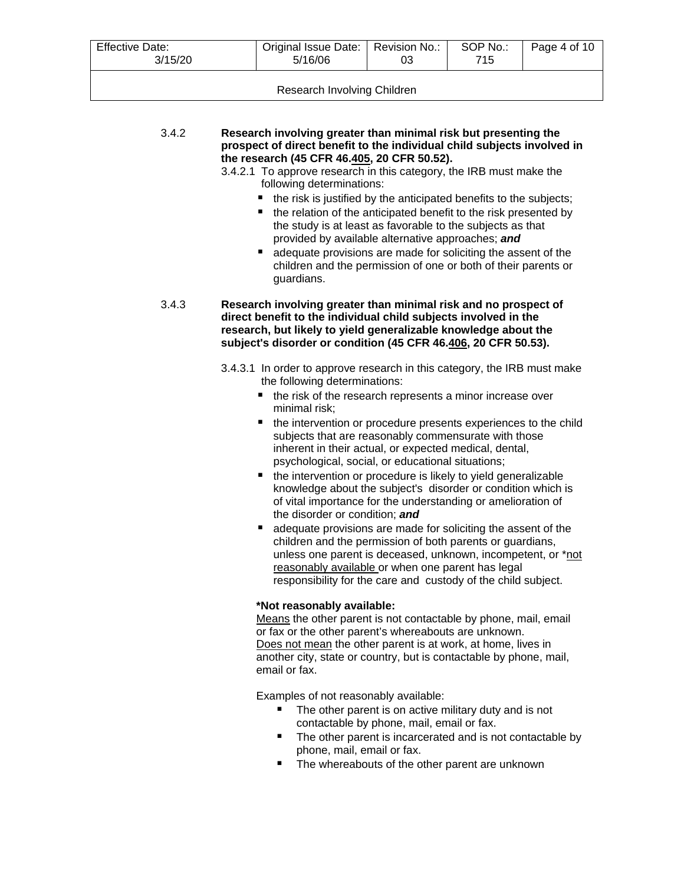| <b>Effective Date:</b><br>3/15/20 | Original Issue Date:   Revision No.:  <br>5/16/06 | 03 | SOP No.:<br>715 | Page 4 of 10 |
|-----------------------------------|---------------------------------------------------|----|-----------------|--------------|
|                                   |                                                   |    |                 |              |

| 3.4.2 | Research involving greater than minimal risk but presenting the         |
|-------|-------------------------------------------------------------------------|
|       | prospect of direct benefit to the individual child subjects involved in |
|       | the research (45 CFR 46.405, 20 CFR 50.52).                             |
|       |                                                                         |

- 3.4.2.1 To approve research in this category, the IRB must make the following determinations:
	- $\blacksquare$  the risk is justified by the anticipated benefits to the subjects;
	- $\blacksquare$  the relation of the anticipated benefit to the risk presented by the study is at least as favorable to the subjects as that provided by available alternative approaches; *and*
	- adequate provisions are made for soliciting the assent of the children and the permission of one or both of their parents or guardians.

3.4.3 **Research involving greater than minimal risk and no prospect of direct benefit to the individual child subjects involved in the research, but likely to yield generalizable knowledge about the subject's disorder or condition (45 CFR 46.406, 20 CFR 50.53).**

> 3.4.3.1 In order to approve research in this category, the IRB must make the following determinations:

- $\blacksquare$  the risk of the research represents a minor increase over minimal risk;
- the intervention or procedure presents experiences to the child subjects that are reasonably commensurate with those inherent in their actual, or expected medical, dental, psychological, social, or educational situations;
- the intervention or procedure is likely to yield generalizable knowledge about the subject's disorder or condition which is of vital importance for the understanding or amelioration of the disorder or condition; *and*
- adequate provisions are made for soliciting the assent of the children and the permission of both parents or guardians, unless one parent is deceased, unknown, incompetent, or \*not reasonably available or when one parent has legal responsibility for the care and custody of the child subject.

### **\*Not reasonably available:**

Means the other parent is not contactable by phone, mail, email or fax or the other parent's whereabouts are unknown. Does not mean the other parent is at work, at home, lives in another city, state or country, but is contactable by phone, mail, email or fax.

Examples of not reasonably available:

- The other parent is on active military duty and is not contactable by phone, mail, email or fax.
- The other parent is incarcerated and is not contactable by phone, mail, email or fax.
- The whereabouts of the other parent are unknown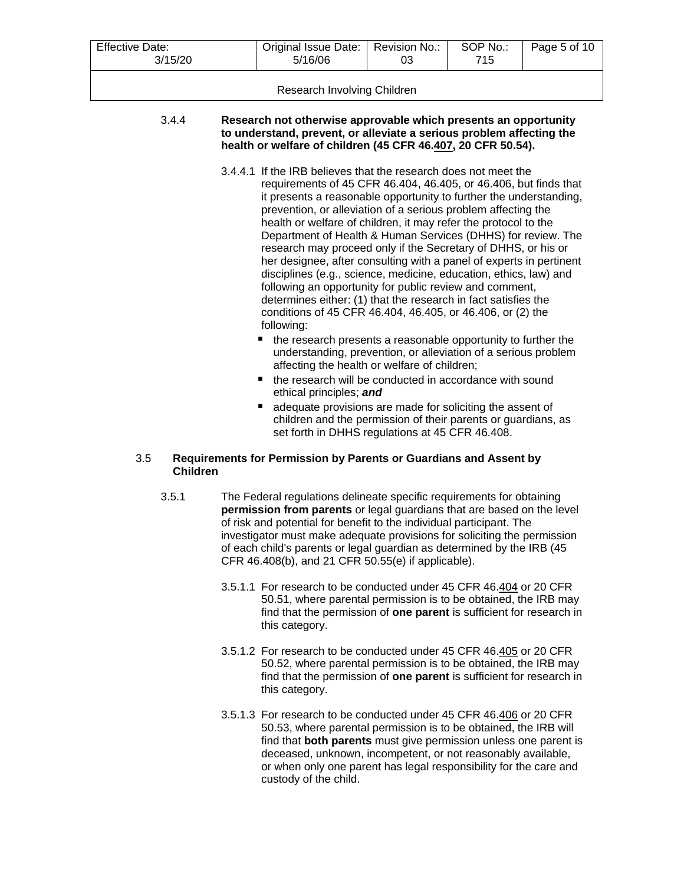| <b>Effective Date:</b><br>3/15/20 | Original Issue Date:<br>5/16/06                                                                                                                                                                         | Revision No.:<br>03 | SOP No.:<br>715 | Page 5 of 10 |
|-----------------------------------|---------------------------------------------------------------------------------------------------------------------------------------------------------------------------------------------------------|---------------------|-----------------|--------------|
| Research Involving Children       |                                                                                                                                                                                                         |                     |                 |              |
| 3.4.4                             | Research not otherwise approvable which presents an opportunity<br>to understand, prevent, or alleviate a serious problem affecting the<br>health or welfare of children (45 CFR 46.407, 20 CFR 50.54). |                     |                 |              |

- 3.4.4.1 If the IRB believes that the research does not meet the requirements of 45 CFR 46.404, 46.405, or 46.406, but finds that it presents a reasonable opportunity to further the understanding, prevention, or alleviation of a serious problem affecting the health or welfare of children, it may refer the protocol to the Department of Health & Human Services (DHHS) for review. The research may proceed only if the Secretary of DHHS, or his or her designee, after consulting with a panel of experts in pertinent disciplines (e.g., science, medicine, education, ethics, law) and following an opportunity for public review and comment, determines either: (1) that the research in fact satisfies the conditions of 45 CFR 46.404, 46.405, or 46.406, or (2) the following:
	- the research presents a reasonable opportunity to further the understanding, prevention, or alleviation of a serious problem affecting the health or welfare of children;
	- $\blacksquare$  the research will be conducted in accordance with sound ethical principles; *and*
	- adequate provisions are made for soliciting the assent of children and the permission of their parents or guardians, as set forth in DHHS regulations at 45 CFR 46.408.

## 3.5 **Requirements for Permission by Parents or Guardians and Assent by Children**

- 3.5.1 The Federal regulations delineate specific requirements for obtaining **permission from parents** or legal guardians that are based on the level of risk and potential for benefit to the individual participant. The investigator must make adequate provisions for soliciting the permission of each child's parents or legal guardian as determined by the IRB (45 CFR 46.408(b), and 21 CFR 50.55(e) if applicable).
	- 3.5.1.1 For research to be conducted under 45 CFR 46.404 or 20 CFR 50.51, where parental permission is to be obtained, the IRB may find that the permission of **one parent** is sufficient for research in this category.
	- 3.5.1.2 For research to be conducted under 45 CFR 46.405 or 20 CFR 50.52, where parental permission is to be obtained, the IRB may find that the permission of **one parent** is sufficient for research in this category.
	- 3.5.1.3 For research to be conducted under 45 CFR 46.406 or 20 CFR 50.53, where parental permission is to be obtained, the IRB will find that **both parents** must give permission unless one parent is deceased, unknown, incompetent, or not reasonably available, or when only one parent has legal responsibility for the care and custody of the child.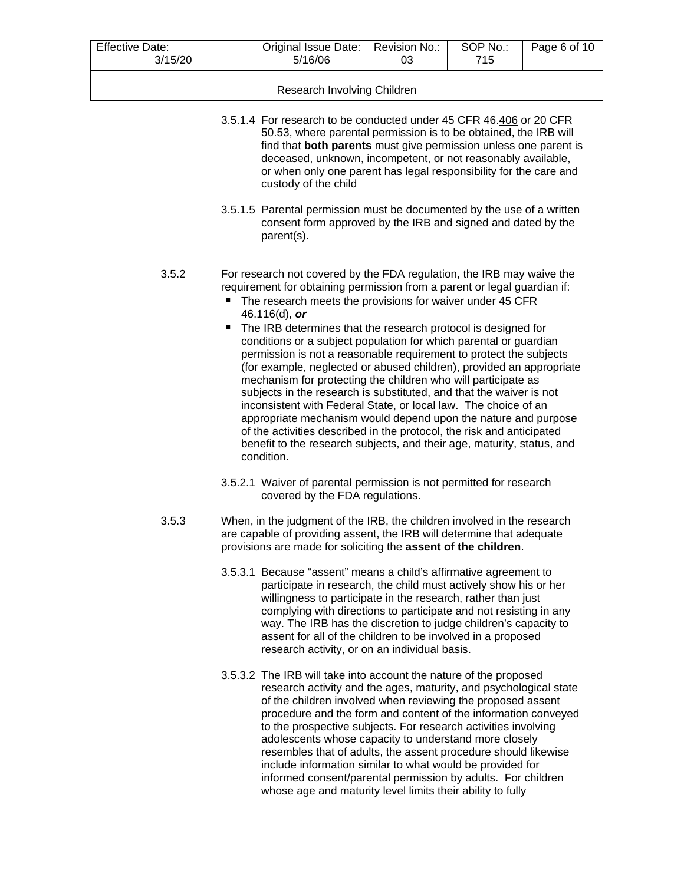| <b>Effective Date:</b><br>3/15/20 |                                                                                                                                                                                                                                                                                                                                                                                                                                                                                                                                                                                                                                                                                                                                                                                                                                                                                                                                                                        | Original Issue Date:<br>5/16/06                                                                                                                                                                                                                                                                                                                                                                                                                               | Revision No.:<br>03 | SOP No.:<br>715 | Page 6 of 10 |
|-----------------------------------|------------------------------------------------------------------------------------------------------------------------------------------------------------------------------------------------------------------------------------------------------------------------------------------------------------------------------------------------------------------------------------------------------------------------------------------------------------------------------------------------------------------------------------------------------------------------------------------------------------------------------------------------------------------------------------------------------------------------------------------------------------------------------------------------------------------------------------------------------------------------------------------------------------------------------------------------------------------------|---------------------------------------------------------------------------------------------------------------------------------------------------------------------------------------------------------------------------------------------------------------------------------------------------------------------------------------------------------------------------------------------------------------------------------------------------------------|---------------------|-----------------|--------------|
|                                   |                                                                                                                                                                                                                                                                                                                                                                                                                                                                                                                                                                                                                                                                                                                                                                                                                                                                                                                                                                        | Research Involving Children                                                                                                                                                                                                                                                                                                                                                                                                                                   |                     |                 |              |
|                                   | 3.5.1.4 For research to be conducted under 45 CFR 46.406 or 20 CFR<br>50.53, where parental permission is to be obtained, the IRB will<br>find that both parents must give permission unless one parent is<br>deceased, unknown, incompetent, or not reasonably available,<br>or when only one parent has legal responsibility for the care and<br>custody of the child                                                                                                                                                                                                                                                                                                                                                                                                                                                                                                                                                                                                |                                                                                                                                                                                                                                                                                                                                                                                                                                                               |                     |                 |              |
|                                   |                                                                                                                                                                                                                                                                                                                                                                                                                                                                                                                                                                                                                                                                                                                                                                                                                                                                                                                                                                        | 3.5.1.5 Parental permission must be documented by the use of a written<br>consent form approved by the IRB and signed and dated by the<br>parent(s).                                                                                                                                                                                                                                                                                                          |                     |                 |              |
| 3.5.2                             | For research not covered by the FDA regulation, the IRB may waive the<br>requirement for obtaining permission from a parent or legal guardian if:<br>The research meets the provisions for waiver under 45 CFR<br>46.116(d), or<br>The IRB determines that the research protocol is designed for<br>٠<br>conditions or a subject population for which parental or guardian<br>permission is not a reasonable requirement to protect the subjects<br>(for example, neglected or abused children), provided an appropriate<br>mechanism for protecting the children who will participate as<br>subjects in the research is substituted, and that the waiver is not<br>inconsistent with Federal State, or local law. The choice of an<br>appropriate mechanism would depend upon the nature and purpose<br>of the activities described in the protocol, the risk and anticipated<br>benefit to the research subjects, and their age, maturity, status, and<br>condition. |                                                                                                                                                                                                                                                                                                                                                                                                                                                               |                     |                 |              |
| 3.5.3                             |                                                                                                                                                                                                                                                                                                                                                                                                                                                                                                                                                                                                                                                                                                                                                                                                                                                                                                                                                                        | 3.5.2.1 Waiver of parental permission is not permitted for research<br>covered by the FDA regulations.<br>When, in the judgment of the IRB, the children involved in the research                                                                                                                                                                                                                                                                             |                     |                 |              |
|                                   | are capable of providing assent, the IRB will determine that adequate<br>provisions are made for soliciting the assent of the children.                                                                                                                                                                                                                                                                                                                                                                                                                                                                                                                                                                                                                                                                                                                                                                                                                                |                                                                                                                                                                                                                                                                                                                                                                                                                                                               |                     |                 |              |
|                                   |                                                                                                                                                                                                                                                                                                                                                                                                                                                                                                                                                                                                                                                                                                                                                                                                                                                                                                                                                                        | 3.5.3.1 Because "assent" means a child's affirmative agreement to<br>participate in research, the child must actively show his or her<br>willingness to participate in the research, rather than just<br>complying with directions to participate and not resisting in any<br>way. The IRB has the discretion to judge children's capacity to<br>assent for all of the children to be involved in a proposed<br>research activity, or on an individual basis. |                     |                 |              |
|                                   |                                                                                                                                                                                                                                                                                                                                                                                                                                                                                                                                                                                                                                                                                                                                                                                                                                                                                                                                                                        | 3.5.3.2 The IRB will take into account the nature of the proposed<br>research activity and the ages, maturity, and psychological state<br>of the children involved when reviewing the proposed assent<br>procedure and the form and content of the information conveyed<br>to the prespective subjects. For research activities involving                                                                                                                     |                     |                 |              |

to the prospective subjects. For research activities involving adolescents whose capacity to understand more closely resembles that of adults, the assent procedure should likewise include information similar to what would be provided for informed consent/parental permission by adults. For children whose age and maturity level limits their ability to fully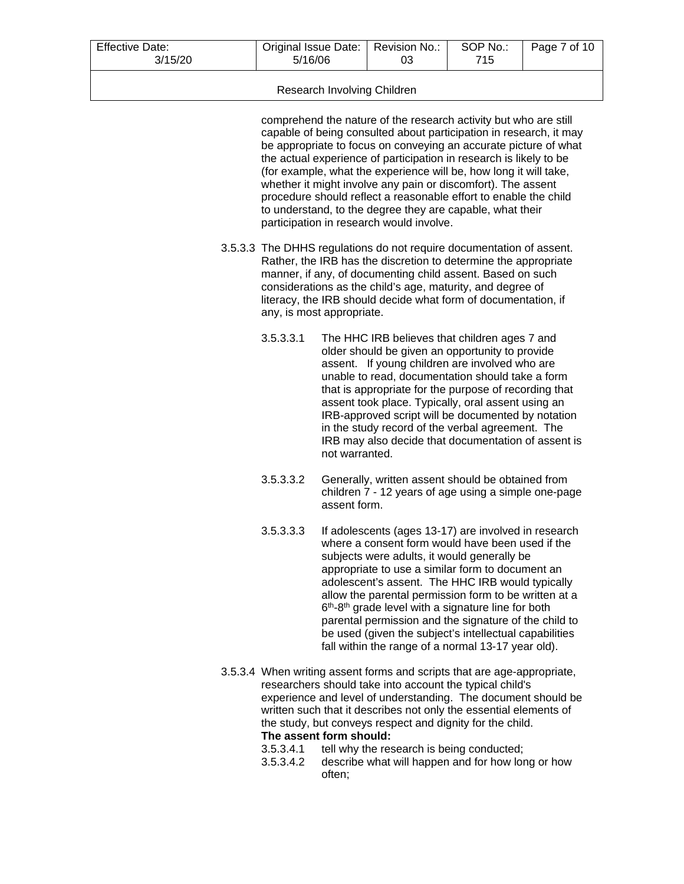| <b>Effective Date:</b> | Original Issue Date: | Revision No.: | SOP No.: | Page 7 of 10 |
|------------------------|----------------------|---------------|----------|--------------|
| 3/15/20                | 5/16/06              | 03            | 715      |              |
|                        |                      |               |          |              |

## Research Involving Children

comprehend the nature of the research activity but who are still capable of being consulted about participation in research, it may be appropriate to focus on conveying an accurate picture of what the actual experience of participation in research is likely to be (for example, what the experience will be, how long it will take, whether it might involve any pain or discomfort). The assent procedure should reflect a reasonable effort to enable the child to understand, to the degree they are capable, what their participation in research would involve.

- 3.5.3.3 The DHHS regulations do not require documentation of assent. Rather, the IRB has the discretion to determine the appropriate manner, if any, of documenting child assent. Based on such considerations as the child's age, maturity, and degree of literacy, the IRB should decide what form of documentation, if any, is most appropriate.
	- 3.5.3.3.1 The HHC IRB believes that children ages 7 and older should be given an opportunity to provide assent. If young children are involved who are unable to read, documentation should take a form that is appropriate for the purpose of recording that assent took place. Typically, oral assent using an IRB-approved script will be documented by notation in the study record of the verbal agreement. The IRB may also decide that documentation of assent is not warranted.
	- 3.5.3.3.2 Generally, written assent should be obtained from children 7 - 12 years of age using a simple one-page assent form.
	- 3.5.3.3.3 If adolescents (ages 13-17) are involved in research where a consent form would have been used if the subjects were adults, it would generally be appropriate to use a similar form to document an adolescent's assent. The HHC IRB would typically allow the parental permission form to be written at a 6<sup>th</sup>-8<sup>th</sup> grade level with a signature line for both parental permission and the signature of the child to be used (given the subject's intellectual capabilities fall within the range of a normal 13-17 year old).
- 3.5.3.4 When writing assent forms and scripts that are age-appropriate, researchers should take into account the typical child's experience and level of understanding. The document should be written such that it describes not only the essential elements of the study, but conveys respect and dignity for the child. **The assent form should:**<br>3.5.3.4.1 tell why the res
	- tell why the research is being conducted;
	- 3.5.3.4.2 describe what will happen and for how long or how often;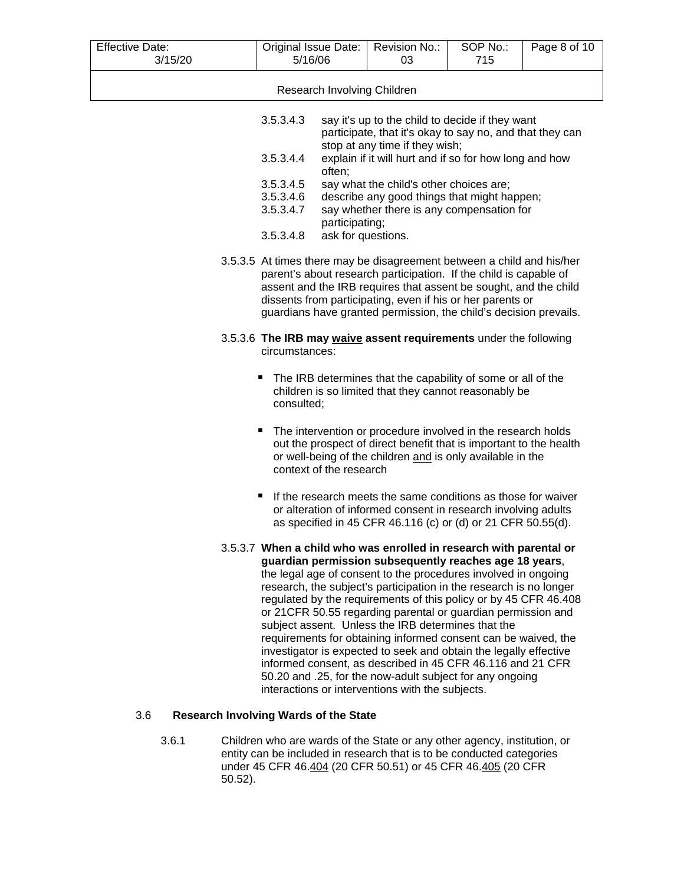| <b>Effective Date:</b> | Original Issue Date:<br>Revision No.:<br>SOP No.:                                                                                                                                                                                                                                                                                                  |                                                                                                    |                                                                                                                                                                                                                                                                                                                                                                                                                                                                                                                                                                                                                                                                                                                                                                                     |     | Page 8 of 10 |  |  |
|------------------------|----------------------------------------------------------------------------------------------------------------------------------------------------------------------------------------------------------------------------------------------------------------------------------------------------------------------------------------------------|----------------------------------------------------------------------------------------------------|-------------------------------------------------------------------------------------------------------------------------------------------------------------------------------------------------------------------------------------------------------------------------------------------------------------------------------------------------------------------------------------------------------------------------------------------------------------------------------------------------------------------------------------------------------------------------------------------------------------------------------------------------------------------------------------------------------------------------------------------------------------------------------------|-----|--------------|--|--|
| 3/15/20                | 5/16/06                                                                                                                                                                                                                                                                                                                                            |                                                                                                    | 03                                                                                                                                                                                                                                                                                                                                                                                                                                                                                                                                                                                                                                                                                                                                                                                  | 715 |              |  |  |
|                        |                                                                                                                                                                                                                                                                                                                                                    |                                                                                                    | Research Involving Children                                                                                                                                                                                                                                                                                                                                                                                                                                                                                                                                                                                                                                                                                                                                                         |     |              |  |  |
|                        | 3.5.3.4.3                                                                                                                                                                                                                                                                                                                                          |                                                                                                    | say it's up to the child to decide if they want<br>participate, that it's okay to say no, and that they can                                                                                                                                                                                                                                                                                                                                                                                                                                                                                                                                                                                                                                                                         |     |              |  |  |
|                        | 3.5.3.4.4                                                                                                                                                                                                                                                                                                                                          | stop at any time if they wish;<br>explain if it will hurt and if so for how long and how<br>often; |                                                                                                                                                                                                                                                                                                                                                                                                                                                                                                                                                                                                                                                                                                                                                                                     |     |              |  |  |
|                        | 3.5.3.4.5                                                                                                                                                                                                                                                                                                                                          |                                                                                                    | say what the child's other choices are;                                                                                                                                                                                                                                                                                                                                                                                                                                                                                                                                                                                                                                                                                                                                             |     |              |  |  |
|                        | 3.5.3.4.6                                                                                                                                                                                                                                                                                                                                          |                                                                                                    | describe any good things that might happen;                                                                                                                                                                                                                                                                                                                                                                                                                                                                                                                                                                                                                                                                                                                                         |     |              |  |  |
|                        | 3.5.3.4.7                                                                                                                                                                                                                                                                                                                                          | participating;                                                                                     | say whether there is any compensation for                                                                                                                                                                                                                                                                                                                                                                                                                                                                                                                                                                                                                                                                                                                                           |     |              |  |  |
|                        | 3.5.3.4.8                                                                                                                                                                                                                                                                                                                                          | ask for questions.                                                                                 |                                                                                                                                                                                                                                                                                                                                                                                                                                                                                                                                                                                                                                                                                                                                                                                     |     |              |  |  |
|                        | 3.5.3.5 At times there may be disagreement between a child and his/her<br>parent's about research participation. If the child is capable of<br>assent and the IRB requires that assent be sought, and the child<br>dissents from participating, even if his or her parents or<br>guardians have granted permission, the child's decision prevails. |                                                                                                    |                                                                                                                                                                                                                                                                                                                                                                                                                                                                                                                                                                                                                                                                                                                                                                                     |     |              |  |  |
|                        | 3.5.3.6 The IRB may waive assent requirements under the following<br>circumstances:                                                                                                                                                                                                                                                                |                                                                                                    |                                                                                                                                                                                                                                                                                                                                                                                                                                                                                                                                                                                                                                                                                                                                                                                     |     |              |  |  |
|                        | The IRB determines that the capability of some or all of the<br>ш<br>children is so limited that they cannot reasonably be<br>consulted;                                                                                                                                                                                                           |                                                                                                    |                                                                                                                                                                                                                                                                                                                                                                                                                                                                                                                                                                                                                                                                                                                                                                                     |     |              |  |  |
|                        | The intervention or procedure involved in the research holds<br>п<br>out the prospect of direct benefit that is important to the health<br>or well-being of the children and is only available in the<br>context of the research                                                                                                                   |                                                                                                    |                                                                                                                                                                                                                                                                                                                                                                                                                                                                                                                                                                                                                                                                                                                                                                                     |     |              |  |  |
|                        | If the research meets the same conditions as those for waiver<br>п<br>or alteration of informed consent in research involving adults<br>as specified in 45 CFR 46.116 (c) or (d) or 21 CFR 50.55(d).                                                                                                                                               |                                                                                                    |                                                                                                                                                                                                                                                                                                                                                                                                                                                                                                                                                                                                                                                                                                                                                                                     |     |              |  |  |
|                        |                                                                                                                                                                                                                                                                                                                                                    |                                                                                                    | 3.5.3.7 When a child who was enrolled in research with parental or<br>guardian permission subsequently reaches age 18 years,<br>the legal age of consent to the procedures involved in ongoing<br>research, the subject's participation in the research is no longer<br>regulated by the requirements of this policy or by 45 CFR 46.408<br>or 21CFR 50.55 regarding parental or guardian permission and<br>subject assent. Unless the IRB determines that the<br>requirements for obtaining informed consent can be waived, the<br>investigator is expected to seek and obtain the legally effective<br>informed consent, as described in 45 CFR 46.116 and 21 CFR<br>50.20 and .25, for the now-adult subject for any ongoing<br>interactions or interventions with the subjects. |     |              |  |  |

# 3.6 **Research Involving Wards of the State**

3.6.1 Children who are wards of the State or any other agency, institution, or entity can be included in research that is to be conducted categories under 45 CFR 46.<u>404</u> (20 CFR 50.51) or 45 CFR 46.<u>405</u> (20 CFR 50.52).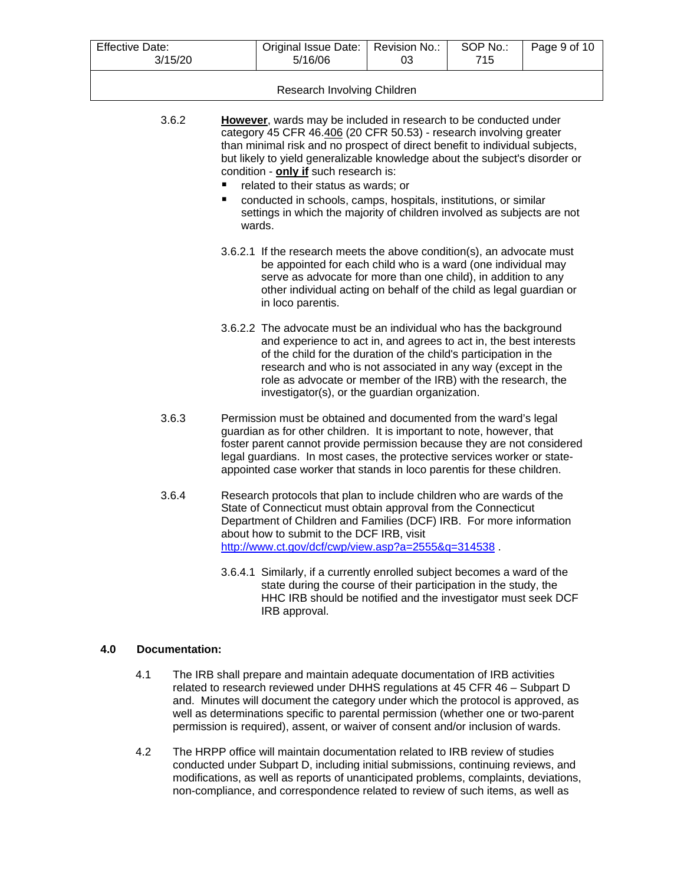| <b>Effective Date:</b><br>3/15/20 |                                                                                                                                                                                                                                                                                                                                                                                                                                                                                                                                                     | Original Issue Date:<br>5/16/06                                                                                                                                                                                                | Revision No.:<br>03 | SOP No.:<br>715 | Page 9 of 10 |  |  |
|-----------------------------------|-----------------------------------------------------------------------------------------------------------------------------------------------------------------------------------------------------------------------------------------------------------------------------------------------------------------------------------------------------------------------------------------------------------------------------------------------------------------------------------------------------------------------------------------------------|--------------------------------------------------------------------------------------------------------------------------------------------------------------------------------------------------------------------------------|---------------------|-----------------|--------------|--|--|
|                                   |                                                                                                                                                                                                                                                                                                                                                                                                                                                                                                                                                     |                                                                                                                                                                                                                                |                     |                 |              |  |  |
|                                   |                                                                                                                                                                                                                                                                                                                                                                                                                                                                                                                                                     | Research Involving Children                                                                                                                                                                                                    |                     |                 |              |  |  |
| 3.6.2                             | However, wards may be included in research to be conducted under<br>category 45 CFR 46.406 (20 CFR 50.53) - research involving greater<br>than minimal risk and no prospect of direct benefit to individual subjects,<br>but likely to yield generalizable knowledge about the subject's disorder or<br>condition - only if such research is:<br>related to their status as wards; or<br>conducted in schools, camps, hospitals, institutions, or similar<br>п<br>settings in which the majority of children involved as subjects are not<br>wards. |                                                                                                                                                                                                                                |                     |                 |              |  |  |
|                                   | 3.6.2.1 If the research meets the above condition(s), an advocate must<br>be appointed for each child who is a ward (one individual may<br>serve as advocate for more than one child), in addition to any<br>other individual acting on behalf of the child as legal guardian or<br>in loco parentis.                                                                                                                                                                                                                                               |                                                                                                                                                                                                                                |                     |                 |              |  |  |
|                                   | 3.6.2.2 The advocate must be an individual who has the background<br>and experience to act in, and agrees to act in, the best interests<br>of the child for the duration of the child's participation in the<br>research and who is not associated in any way (except in the<br>role as advocate or member of the IRB) with the research, the<br>investigator(s), or the guardian organization.                                                                                                                                                     |                                                                                                                                                                                                                                |                     |                 |              |  |  |
| 3.6.3                             | Permission must be obtained and documented from the ward's legal<br>guardian as for other children. It is important to note, however, that<br>foster parent cannot provide permission because they are not considered<br>legal guardians. In most cases, the protective services worker or state-<br>appointed case worker that stands in loco parentis for these children.                                                                                                                                                                         |                                                                                                                                                                                                                                |                     |                 |              |  |  |
| 3.6.4                             | Research protocols that plan to include children who are wards of the<br>State of Connecticut must obtain approval from the Connecticut<br>Department of Children and Families (DCF) IRB. For more information<br>about how to submit to the DCF IRB, visit<br>http://www.ct.gov/dcf/cwp/view.asp?a=2555&q=314538.                                                                                                                                                                                                                                  |                                                                                                                                                                                                                                |                     |                 |              |  |  |
|                                   |                                                                                                                                                                                                                                                                                                                                                                                                                                                                                                                                                     | 3.6.4.1 Similarly, if a currently enrolled subject becomes a ward of the<br>state during the course of their participation in the study, the<br>HHC IRB should be notified and the investigator must seek DCF<br>IRB approval. |                     |                 |              |  |  |

### **4.0 Documentation:**

- 4.1 The IRB shall prepare and maintain adequate documentation of IRB activities related to research reviewed under DHHS regulations at 45 CFR 46 – Subpart D and. Minutes will document the category under which the protocol is approved, as well as determinations specific to parental permission (whether one or two-parent permission is required), assent, or waiver of consent and/or inclusion of wards.
- 4.2 The HRPP office will maintain documentation related to IRB review of studies conducted under Subpart D, including initial submissions, continuing reviews, and modifications, as well as reports of unanticipated problems, complaints, deviations, non-compliance, and correspondence related to review of such items, as well as